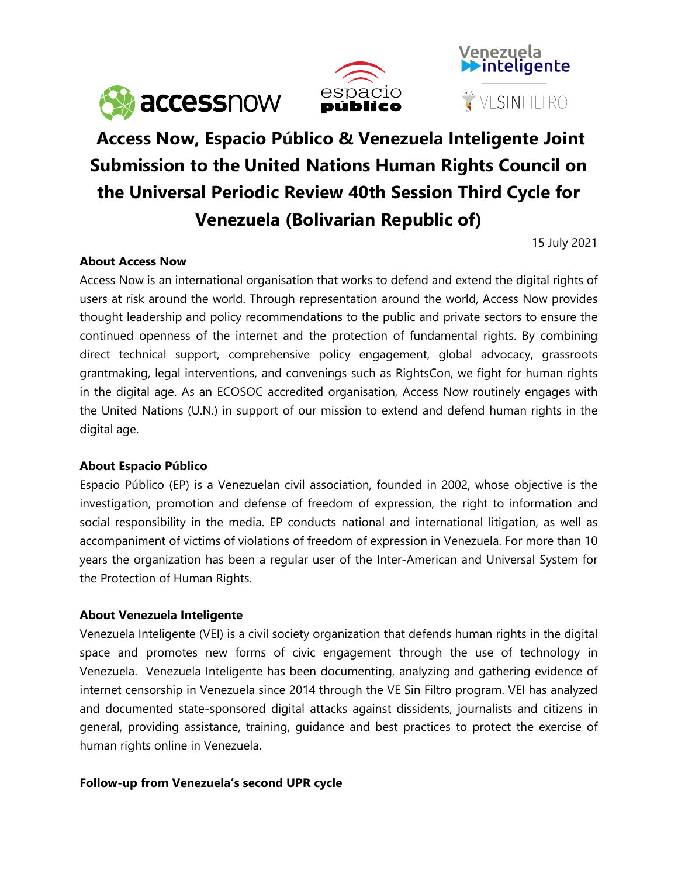





# **Access Now, Espacio Público & Venezuela Inteligente Joint Submission to the United Nations Human Rights Council on the Universal Periodic Review 40th Session Third Cycle for Venezuela (Bolivarian Republic of)**

15 July 2021

## **About Access Now**

Access Now is an international organisation that works to defend and extend the digital rights of users at risk around the world. Through representation around the world, Access Now provides thought leadership and policy recommendations to the public and private sectors to ensure the continued openness of the internet and the protection of fundamental rights. By combining direct technical support, comprehensive policy engagement, global advocacy, grassroots grantmaking, legal interventions, and convenings such as RightsCon, we fight for human rights in the digital age. As an ECOSOC accredited organisation, Access Now routinely engages with the United Nations (U.N.) in support of our mission to extend and defend human rights in the digital age.

#### **About Espacio Público**

Espacio Público (EP) is <sup>a</sup> Venezuelan civil association, founded in 2002, whose objective is the investigation, promotion and defense of freedom of expression, the right to information and social responsibility in the media. EP conducts national and international litigation, as well as accompaniment of victims of violations of freedom of expression in Venezuela. For more than 10 years the organization has been <sup>a</sup> regular user of the Inter-American and Universal System for the Protection of Human Rights.

#### **About Venezuela Inteligente**

Venezuela Inteligente (VEI) is <sup>a</sup> civil society organization that defends human rights in the digital space and promotes new forms of civic engagemen<sup>t</sup> through the use of technology in Venezuela. Venezuela Inteligente has been documenting, analyzing and gathering evidence of internet censorship in Venezuela since 2014 through the VE Sin Filtro program. VEI has analyzed and documented state-sponsored digital attacks against dissidents, journalists and citizens in general, providing assistance, training, guidance and best practices to protect the exercise of human rights online in Venezuela.

#### **Follow-up from Venezuela'<sup>s</sup> second UPR cycle**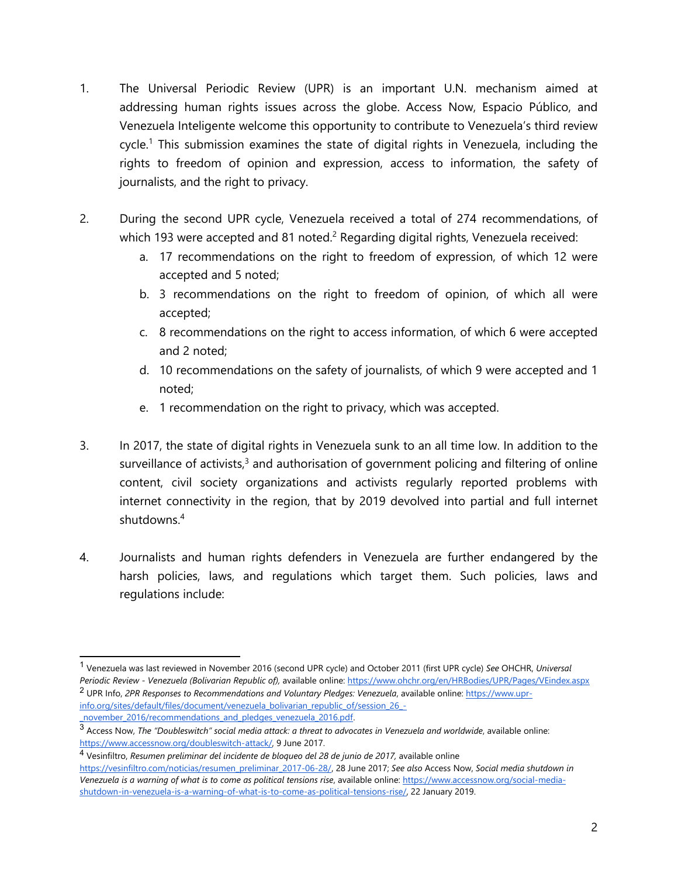- 1. The Universal Periodic Review (UPR) is an important U.N. mechanism aimed at addressing human rights issues across the globe. Access Now, Espacio Público, and Venezuela Inteligente welcome this opportunity to contribute to Venezuela'<sup>s</sup> third review cycle. 1 This submission examines the state of digital rights in Venezuela, including the rights to freedom of opinion and expression, access to information, the safety of journalists, and the right to privacy.
- 2. During the second UPR cycle, Venezuela received <sup>a</sup> total of 274 recommendations, of which 193 were accepted and 81 noted. $^2$  Regarding digital rights, Venezuela received:
	- a. 17 recommendations on the right to freedom of expression, of which 12 were accepted and 5 noted;
	- b. 3 recommendations on the right to freedom of opinion, of which all were accepted;
	- c. 8 recommendations on the right to access information, of which 6 were accepted and 2 noted;
	- d. 10 recommendations on the safety of journalists, of which 9 were accepted and 1 noted;
	- e. 1 recommendation on the right to privacy, which was accepted.
- 3. In 2017, the state of digital rights in Venezuela sunk to an all time low. In addition to the surveillance of activists, $^3$  and authorisation of government policing and filtering of online content, civil society organizations and activists regularly reported problems with internet connectivity in the region, that by 2019 devolved into partial and full internet shutdowns. 4
- 4. Journalists and human rights defenders in Venezuela are further endangered by the harsh policies, laws, and regulations which target them. Such policies, laws and regulations include:

<sup>1</sup> Venezuela was last reviewed in November 2016 (second UPR cycle) and October 2011 (first UPR cycle) *See* OHCHR, *Universal Periodic Review - Venezuela (Bolivarian Republic of),* available online: <https://www.ohchr.org/en/HRBodies/UPR/Pages/VEindex.aspx> 2 UPR Info, *2PR Responses to Recommendations and Voluntary Pledges: Venezuela*, available online: [https://www.upr](https://www.upr-info.org/sites/default/files/document/venezuela_bolivarian_republic_of/session_26_-_november_2016/recommendations_and_pledges_venezuela_2016.pdf)[info.org/sites/default/files/document/venezuela\\_bolivarian\\_republic\\_of/session\\_26\\_-](https://www.upr-info.org/sites/default/files/document/venezuela_bolivarian_republic_of/session_26_-_november_2016/recommendations_and_pledges_venezuela_2016.pdf)

november 2016/recommendations and pledges venezuela 2016.pdf.<br>3 Access Now, The "Doubleswitch" social media attack: a threat to advocates in Venezuela and worldwide, available online: <https://www.accessnow.org/doubleswitch-attack/>, 9 June 2017.

<sup>4</sup> Vesinfiltro, *Resumen preliminar del incidente de bloqueo del 28 de junio de 2017,* available online [https://vesinfiltro.com/noticias/resumen\\_preliminar\\_2017-06-28/,](https://vesinfiltro.com/noticias/resumen_preliminar_2017-06-28/) 28 June 2017; *See also* Access Now, *Social media shutdown in* Venezuela is a warning of what is to come as political tensions rise, available online: [https://www.accessnow.org/social-media](https://www.accessnow.org/social-media-shutdown-in-venezuela-is-a-warning-of-what-is-to-come-as-political-tensions-rise/)[shutdown-in-venezuela-is-a-warning-of-what-is-to-come-as-political-tensions-rise/](https://www.accessnow.org/social-media-shutdown-in-venezuela-is-a-warning-of-what-is-to-come-as-political-tensions-rise/), 22 January 2019.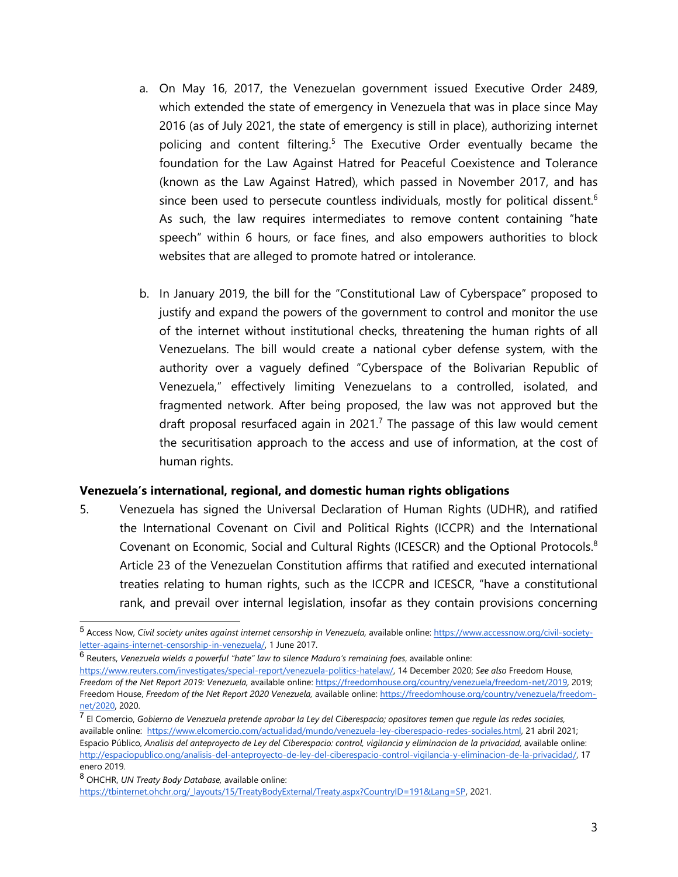- a. On May 16, 2017, the Venezuelan governmen<sup>t</sup> issued Executive Order 2489, which extended the state of emergency in Venezuela that was in place since May 2016 (as of July 2021, the state of emergency is still in place), authorizing internet policing and content filtering.<sup>5</sup> The Executive Order eventually became the foundation for the Law Against Hatred for Peaceful Coexistence and Tolerance (known as the Law Against Hatred), which passed in November 2017, and has since been used to persecute countless individuals, mostly for political dissent. $^6$ As such, the law requires intermediates to remove content containing "hate speech" within 6 hours, or face fines, and also empowers authorities to block websites that are alleged to promote hatred or intolerance.
- b. In January 2019, the bill for the "Constitutional Law of Cyberspace" proposed to justify and expand the powers of the governmen<sup>t</sup> to control and monitor the use of the internet without institutional checks, threatening the human rights of all Venezuelans. The bill would create <sup>a</sup> national cyber defense system, with the authority over <sup>a</sup> vaguely defined "Cyberspace of the Bolivarian Republic of Venezuela," effectively limiting Venezuelans to <sup>a</sup> controlled, isolated, and fragmented network. After being proposed, the law was not approved but the draft proposal resurfaced again in 2021. $^7$  The passage of this law would cement the securitisation approach to the access and use of information, at the cost of human rights.

#### **Venezuela'<sup>s</sup> international, regional, and domestic human rights obligations**

5. Venezuela has signed the Universal Declaration of Human Rights (UDHR), and ratified the International Covenant on Civil and Political Rights (ICCPR) and the International Covenant on Economic, Social and Cultural Rights (ICESCR) and the Optional Protocols.<sup>8</sup> Article 23 of the Venezuelan Constitution affirms that ratified and executed international treaties relating to human rights, such as the ICCPR and ICESCR, "have <sup>a</sup> constitutional rank, and prevail over internal legislation, insofar as they contain provisions concerning

6 Reuters, *Venezuela wields <sup>a</sup> powerful "hate" law to silence Maduro'<sup>s</sup> remaining foes*, available online:

<https://www.reuters.com/investigates/special-report/venezuela-politics-hatelaw/>, 14 December 2020; *See also* Freedom House, *Freedom of the Net Report 2019: Venezuela,* available online: <https://freedomhouse.org/country/venezuela/freedom-net/2019>, 2019; Freedom House, *Freedom of the Net Report 2020 Venezuela,* available online: [https://freedomhouse.org/country/venezuela/freedom](https://freedomhouse.org/country/venezuela/freedom-net/2020)[net/2020,](https://freedomhouse.org/country/venezuela/freedom-net/2020) 2020.

<sup>7</sup> El Comercio, Gobierno de Venezuela pretende aprobar la Ley del Ciberespacio; opositores temen que regule las redes sociales, available online: <https://www.elcomercio.com/actualidad/mundo/venezuela-ley-ciberespacio-redes-sociales.html>, 21 abril 2021; Espacio Público, Analisis del anteprovecto de Ley del Ciberespacio: control, vigilancia y eliminacion de la privacidad, available online: [http://espaciopublico.ong/analisis-del-anteproyecto-de-ley-del-ciberespacio-control-vigilancia-y-eliminacion-de-la-privacidad/,](http://espaciopublico.ong/analisis-del-anteproyecto-de-ley-del-ciberespacio-control-vigilancia-y-eliminacion-de-la-privacidad/) 17 enero 2019.

[https://tbinternet.ohchr.org/\\_layouts/15/TreatyBodyExternal/Treaty.aspx?CountryID=191&Lang=SP](https://tbinternet.ohchr.org/_layouts/15/TreatyBodyExternal/Treaty.aspx?CountryID=191&Lang=SP), 2021.

<sup>5</sup> Access Now, *Civil society unites against internet censorship in Venezuela,* available online: [https://www.accessnow.org/civil-society](https://www.accessnow.org/civil-society-letter-agains-internet-censorship-in-venezuela/)[letter-agains-internet-censorship-in-venezuela/](https://www.accessnow.org/civil-society-letter-agains-internet-censorship-in-venezuela/), 1 June 2017.

<sup>8</sup> OHCHR, *UN Treaty Body Database,* available online: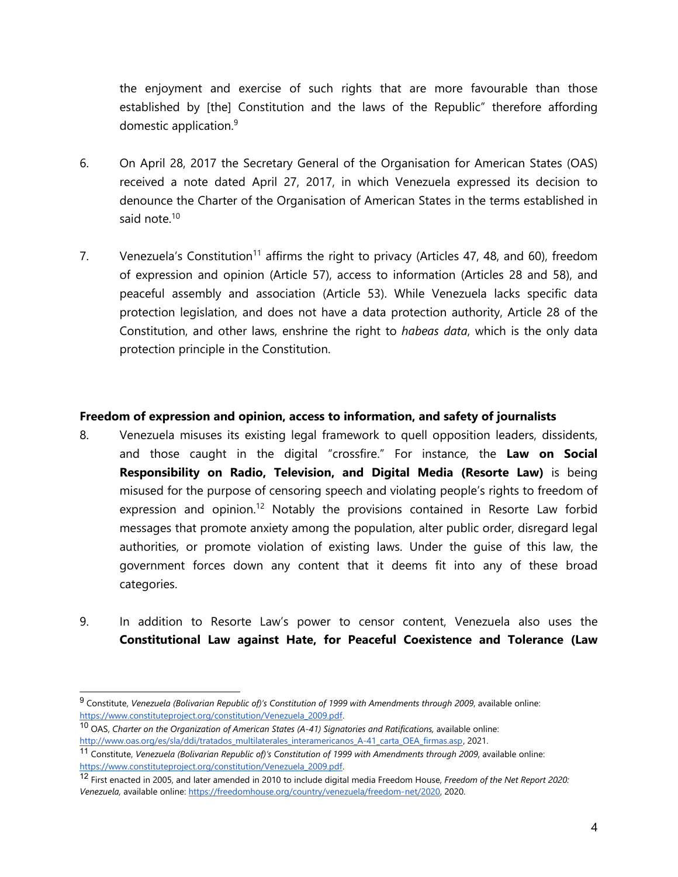the enjoyment and exercise of such rights that are more favourable than those established by [the] Constitution and the laws of the Republic" therefore affording domestic application. 9

- 6. On April 28, 2017 the Secretary General of the Organisation for American States (OAS) received <sup>a</sup> note dated April 27, 2017, in which Venezuela expressed its decision to denounce the Charter of the Organisation of American States in the terms established in said note.<sup>10</sup>
- 7. Venezuela's Constitution<sup>11</sup> affirms the right to privacy (Articles 47, 48, and 60), freedom of expression and opinion (Article 57), access to information (Articles 28 and 58), and peaceful assembly and association (Article 53). While Venezuela lacks specific data protection legislation, and does not have <sup>a</sup> data protection authority, Article 28 of the Constitution, and other laws, enshrine the right to *habeas data*, which is the only data protection principle in the Constitution.

### **Freedom of expression and opinion, access to information, and safety of journalists**

- 8. Venezuela misuses its existing legal framework to quell opposition leaders, dissidents, and those caught in the digital "crossfire." For instance, the **Law on Social Responsibility on Radio, Television, and Digital Media (Resorte Law)** is being misused for the purpose of censoring speech and violating people'<sup>s</sup> rights to freedom of expression and opinion.<sup>12</sup> Notably the provisions contained in Resorte Law forbid messages that promote anxiety among the population, alter public order, disregard legal authorities, or promote violation of existing laws. Under the guise of this law, the governmen<sup>t</sup> forces down any content that it deems fit into any of these broad categories.
- 9. In addition to Resorte Law'<sup>s</sup> power to censor content, Venezuela also uses the **Constitutional Law against Hate, for Peaceful Coexistence and Tolerance (Law**

<sup>9</sup> Constitute, *Venezuela (Bolivarian Republic of)'<sup>s</sup> Constitution of 1999 with Amendments through 2009*, available online: [https://www.constituteproject.org/constitution/Venezuela\\_2009.pdf.](https://www.constituteproject.org/constitution/Venezuela_2009.pdf)

<sup>10</sup> OAS, *Charter on the Organization of American States (A-41) Signatories and Ratifications,* available online: [http://www.oas.org/es/sla/ddi/tratados\\_multilaterales\\_interamericanos\\_A-41\\_carta\\_OEA\\_firmas.asp](http://www.oas.org/es/sla/ddi/tratados_multilaterales_interamericanos_A-41_carta_OEA_firmas.asp), 2021.

<sup>11</sup> Constitute, *Venezuela (Bolivarian Republic of)'<sup>s</sup> Constitution of 1999 with Amendments through 2009*, available online: [https://www.constituteproject.org/constitution/Venezuela\\_2009.pdf.](https://www.constituteproject.org/constitution/Venezuela_2009.pdf)

<sup>12</sup> First enacted in 2005, and later amended in 2010 to include digital media Freedom House, *Freedom of the Net Report 2020: Venezuela,* available online: [https://freedomhouse.org/country/venezuela/freedom-net/2020,](https://freedomhouse.org/country/venezuela/freedom-net/2020) 2020.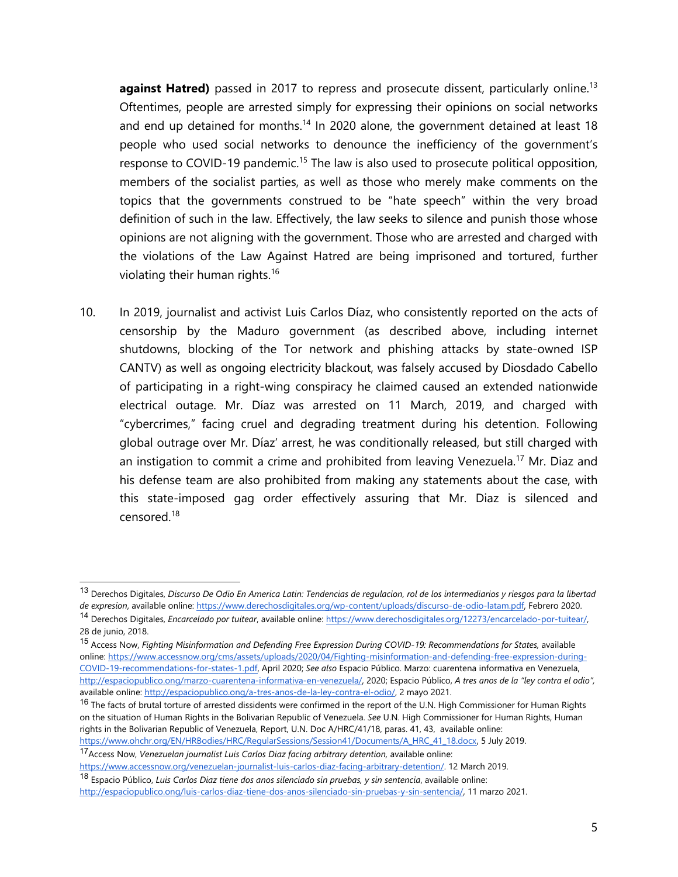**against Hatred)** passed in 2017 to repress and prosecute dissent, particularly online. 13 Oftentimes, people are arrested simply for expressing their opinions on social networks and end up detained for months. $^{\mathsf{14}}$  In 2020 alone, the government detained at least 18 people who used social networks to denounce the inefficiency of the government'<sup>s</sup> response to COVID-19 pandemic.<sup>15</sup> The law is also used to prosecute political opposition, members of the socialist parties, as well as those who merely make comments on the topics that the governments construed to be "hate speech" within the very broad definition of such in the law. Effectively, the law seeks to silence and punish those whose opinions are not aligning with the government. Those who are arrested and charged with the violations of the Law Against Hatred are being imprisoned and tortured, further violating their human rights. 16

10. In 2019, journalist and activist Luis Carlos Díaz, who consistently reported on the acts of censorship by the Maduro governmen<sup>t</sup> (as described above, including internet shutdowns, blocking of the Tor network and phishing attacks by state-owned ISP CANTV) as well as ongoing electricity blackout, was falsely accused by Diosdado Cabello of participating in <sup>a</sup> right-wing conspiracy he claimed caused an extended nationwide electrical outage. Mr. Díaz was arrested on 11 March, 2019, and charged with "cybercrimes," facing cruel and degrading treatment during his detention. Following global outrage over Mr. Díaz' arrest, he was conditionally released, but still charged with an instigation to commit a crime and prohibited from leaving Venezuela.<sup>17</sup> Mr. Diaz and his defense team are also prohibited from making any statements about the case, with this state-imposed gag order effectively assuring that Mr. Diaz is silenced and censored.<sup>18</sup>

<sup>&</sup>lt;sup>13</sup> Derechos Digitales, Discurso De Odio En America Latin: Tendencias de regulacion, rol de los intermediarios y riesgos para la libertad *de expresion*, available online: <https://www.derechosdigitales.org/wp-content/uploads/discurso-de-odio-latam.pdf>, Febrero 2020.

<sup>14</sup> Derechos Digitales, *Encarcelado por tuitear*, available online: <https://www.derechosdigitales.org/12273/encarcelado-por-tuitear/>, 28 de junio, 2018.

<sup>15</sup> Access Now, *Fighting Misinformation and Defending Free Expression During COVID-19: Recommendations for States,* available online: [https://www.accessnow.org/cms/assets/uploads/2020/04/Fighting-misinformation-and-defending-free-expression-during-](https://www.accessnow.org/cms/assets/uploads/2020/04/Fighting-misinformation-and-defending-free-expression-during-COVID-19-recommendations-for-states-1.pdf)[COVID-19-recommendations-for-states-1.pdf,](https://www.accessnow.org/cms/assets/uploads/2020/04/Fighting-misinformation-and-defending-free-expression-during-COVID-19-recommendations-for-states-1.pdf) April 2020; *See also* Espacio Público. Marzo: cuarentena informativa en Venezuela, <http://espaciopublico.ong/marzo-cuarentena-informativa-en-venezuela/>, 2020; Espacio Público, *A tres anos de la "ley contra el odio",* available online: <http://espaciopublico.ong/a-tres-anos-de-la-ley-contra-el-odio/>, 2 mayo 2021.

<sup>&</sup>lt;sup>16</sup> The facts of brutal torture of arrested dissidents were confirmed in the report of the U.N. High Commissioner for Human Rights on the situation of Human Rights in the Bolivarian Republic of Venezuela. *See* U.N. High Commissioner for Human Rights, Human rights in the Bolivarian Republic of Venezuela, Report, U.N. Doc A/HRC/41/18, paras. 41, 43, available online: [https://www.ohchr.org/EN/HRBodies/HRC/RegularSessions/Session41/Documents/A\\_HRC\\_41\\_18.docx,](https://www.ohchr.org/EN/HRBodies/HRC/RegularSessions/Session41/Documents/A_HRC_41_18.docx) 5 July 2019.

<sup>17</sup> Access Now, *Venezuelan journalist Luis Carlos Diaz facing arbitrary detention,* available online: <https://www.accessnow.org/venezuelan-journalist-luis-carlos-diaz-facing-arbitrary-detention/>. 12 March 2019.

<sup>18</sup> Espacio Público, *Luis Carlos Diaz tiene dos anos silenciado sin pruebas, y sin sentencia*, available online: [http://espaciopublico.ong/luis-carlos-diaz-tiene-dos-anos-silenciado-sin-pruebas-y-sin-sentencia/,](http://espaciopublico.ong/luis-carlos-diaz-tiene-dos-anos-silenciado-sin-pruebas-y-sin-sentencia/) 11 marzo 2021.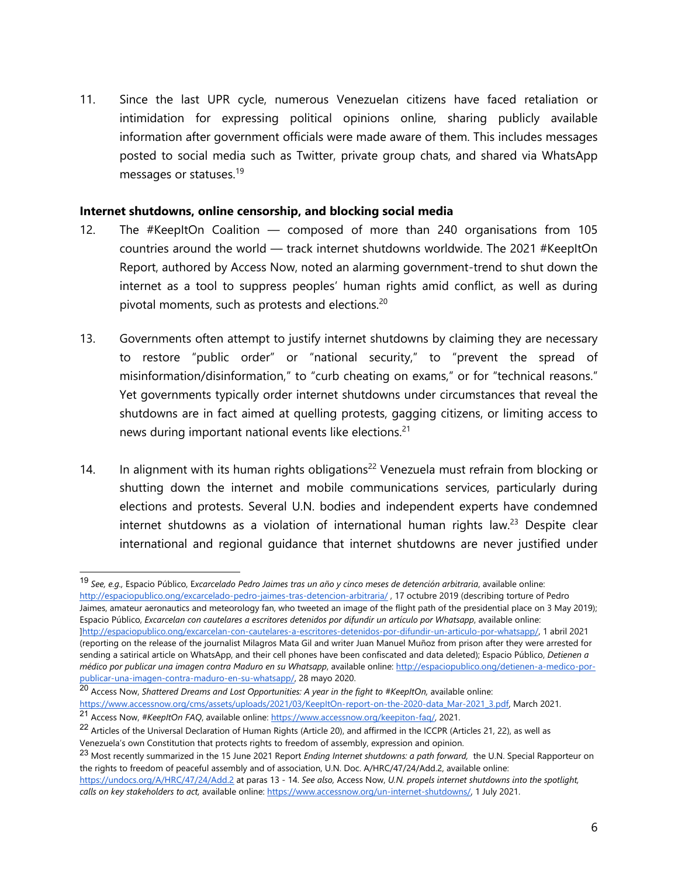11. Since the last UPR cycle, numerous Venezuelan citizens have faced retaliation or intimidation for expressing political opinions online, sharing publicly available information after governmen<sup>t</sup> officials were made aware of them. This includes messages posted to social media such as Twitter, private group chats, and shared via WhatsApp messages or statuses.<sup>19</sup>

#### **Internet shutdowns, online censorship, and blocking social media**

- 12. The #KeepItOn Coalition composed of more than 240 organisations from 105 countries around the world — track internet shutdowns worldwide. The 2021 #KeepItOn Report, authored by Access Now, noted an alarming government-trend to shut down the internet as <sup>a</sup> tool to suppress peoples' human rights amid conflict, as well as during pivotal moments, such as protests and elections. $^{20}$
- 13. Governments often attempt to justify internet shutdowns by claiming they are necessary to restore "public order" or "national security," to "prevent the spread of misinformation/disinformation," to "curb cheating on exams," or for "technical reasons." Yet governments typically order internet shutdowns under circumstances that reveal the shutdowns are in fact aimed at quelling protests, gagging citizens, or limiting access to news during important national events like elections. 21
- 14. In alignment with its human rights obligations<sup>22</sup> Venezuela must refrain from blocking or shutting down the internet and mobile communications services, particularly during elections and protests. Several U.N. bodies and independent experts have condemned internet shutdowns as a violation of international human rights law.<sup>23</sup> Despite clear international and regional guidance that internet shutdowns are never justified under

<sup>19</sup> *See, e.g.,* Espacio Público, E*xcarcelado Pedro Jaimes tras un año y cinco meses de detención arbitraria*, available online: <http://espaciopublico.ong/excarcelado-pedro-jaimes-tras-detencion-arbitraria/> , 17 octubre 2019 (describing torture of Pedro Jaimes, amateur aeronautics and meteorology fan, who tweeted an image of the flight path of the presidential place on 3 May 2019); Espacio Público, *Excarcelan con cautelares <sup>a</sup> escritores detenidos por difundir un artículo por Whatsapp*, available online: ]<http://espaciopublico.ong/excarcelan-con-cautelares-a-escritores-detenidos-por-difundir-un-articulo-por-whatsapp/>, 1 abril 2021 (reporting on the release of the journalist Milagros Mata Gil and writer Juan Manuel Muñoz from prison after they were arrested for sending <sup>a</sup> satirical article on WhatsApp, and their cell phones have been confiscated and data deleted); Espacio Público, *Detienen <sup>a</sup> médico por publicar una imagen contra Maduro en su Whatsapp*, available online: [http://espaciopublico.ong/detienen-a-medico-por-](http://espaciopublico.ong/detienen-a-medico-por-publicar-una-imagen-contra-maduro-en-su-whatsapp/)

[publicar-una-imagen-contra-maduro-en-su-whatsapp/](http://espaciopublico.ong/detienen-a-medico-por-publicar-una-imagen-contra-maduro-en-su-whatsapp/), 28 mayo 2020.

<sup>20</sup> Access Now, *Shattered Dreams and Lost Opportunities: A year in the fight to #KeepItOn,* available online:

[https://www.accessnow.org/cms/assets/uploads/2021/03/KeepItOn-report-on-the-2020-data\\_Mar-2021\\_3.pdf,](https://www.accessnow.org/cms/assets/uploads/2021/03/KeepItOn-report-on-the-2020-data_Mar-2021_3.pdf) March 2021.

<sup>21</sup> Access Now, *#KeepItOn FAQ*, available online: <https://www.accessnow.org/keepiton-faq/>, 2021.

 $^{22}$  Articles of the Universal Declaration of Human Rights (Article 20), and affirmed in the ICCPR (Articles 21, 22), as well as Venezuela'<sup>s</sup> own Constitution that protects rights to freedom of assembly, expression and opinion.

<sup>23</sup> Most recently summarized in the <sup>15</sup> June <sup>2021</sup> Report *Ending Internet shutdowns: <sup>a</sup> path forward,* the U.N. Special Rapporteur on the rights to freedom of peaceful assembly and of association, U.N. Doc. A/HRC/47/24/Add.2, available online:

<https://undocs.org/A/HRC/47/24/Add.2> at paras 13 - 14. *See also,* Access Now, *U.N. propels internet shutdowns into the spotlight, calls on key stakeholders to act,* available online: <https://www.accessnow.org/un-internet-shutdowns/>, 1 July 2021.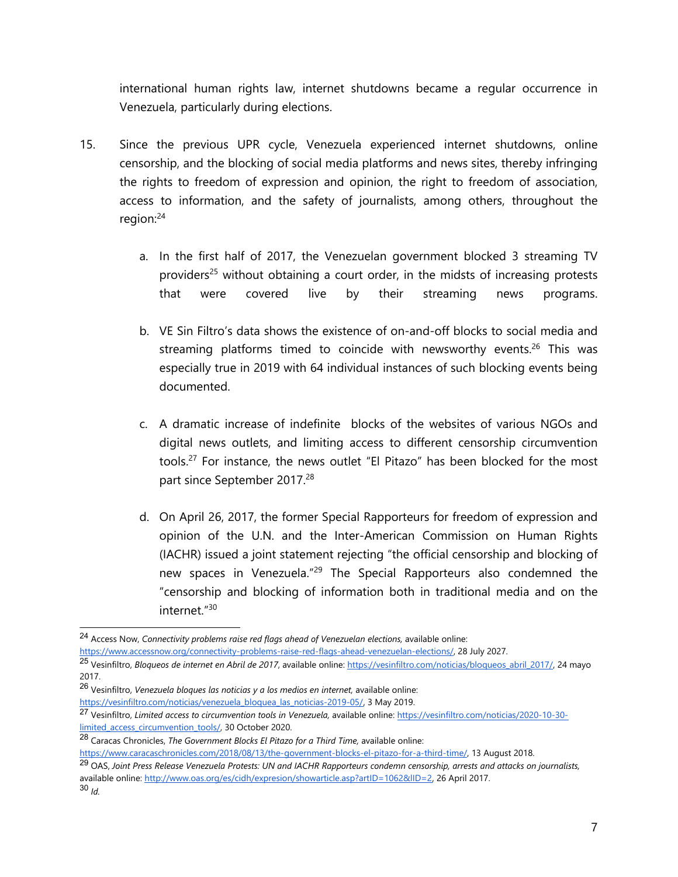international human rights law, internet shutdowns became <sup>a</sup> regular occurrence in Venezuela, particularly during elections.

- 15. Since the previous UPR cycle, Venezuela experienced internet shutdowns, online censorship, and the blocking of social media platforms and news sites, thereby infringing the rights to freedom of expression and opinion, the right to freedom of association, access to information, and the safety of journalists, among others, throughout the region: 24
	- a. In the first half of 2017, the Venezuelan governmen<sup>t</sup> blocked 3 streaming TV providers<sup>25</sup> without obtaining a court order, in the midsts of increasing protests that were covered live by their streaming news programs.
	- b. VE Sin Filtro'<sup>s</sup> data shows the existence of on-and-off blocks to social media and streaming platforms timed to coincide with newsworthy events.<sup>26</sup> This was especially true in 2019 with 64 individual instances of such blocking events being documented.
	- c. A dramatic increase of indefinite blocks of the websites of various NGOs and digital news outlets, and limiting access to different censorship circumvention tools.<sup>27</sup> For instance, the news outlet "El Pitazo" has been blocked for the most part since September 2017. 28
	- d. On April 26, 2017, the former Special Rapporteurs for freedom of expression and opinion of the U.N. and the Inter-American Commission on Human Rights (IACHR) issued <sup>a</sup> joint statement rejecting "the official censorship and blocking of new spaces in Venezuela."<sup>29</sup> The Special Rapporteurs also condemned the "censorship and blocking of information both in traditional media and on the internet."<sup>30</sup>

<sup>24</sup> Access Now, *Connectivity problems raise red flags ahead of Venezuelan elections,* available online:

[https://www.accessnow.org/connectivity-problems-raise-red-flags-ahead-venezuelan-elections/,](https://www.accessnow.org/connectivity-problems-raise-red-flags-ahead-venezuelan-elections/) 28 July 2027.

<sup>25</sup> Vesinfiltro, *Bloqueos de internet en Abril de 2017*, available online: [https://vesinfiltro.com/noticias/bloqueos\\_abril\\_2017/,](https://vesinfiltro.com/noticias/bloqueos_abril_2017/) 24 mayo 2017.

<sup>26</sup> Vesinfiltro, *Venezuela bloques las noticias y <sup>a</sup> los medios en internet,* available online: [https://vesinfiltro.com/noticias/venezuela\\_bloquea\\_las\\_noticias-2019-05/](https://vesinfiltro.com/noticias/venezuela_bloquea_las_noticias-2019-05/), 3 May 2019.

<sup>27</sup> Vesinfiltro, *Limited access to circumvention tools in Venezuela,* available online: [https://vesinfiltro.com/noticias/2020-10-30](https://vesinfiltro.com/noticias/2020-10-30-limited_access_circumvention_tools/) [limited\\_access\\_circumvention\\_tools/](https://vesinfiltro.com/noticias/2020-10-30-limited_access_circumvention_tools/), 30 October 2020.

<sup>28</sup> Caracas Chronicles, *The Government Blocks El Pitazo for <sup>a</sup> Third Time,* available online:

<https://www.caracaschronicles.com/2018/08/13/the-government-blocks-el-pitazo-for-a-third-time/>, 13 August 2018.

<sup>&</sup>lt;sup>29</sup> OAS, Joint Press Release Venezuela Protests: UN and IACHR Rapporteurs condemn censorship, arrests and attacks on journalists, available online: <http://www.oas.org/es/cidh/expresion/showarticle.asp?artID=1062&lID=2>, 26 April 2017. 30 *Id.*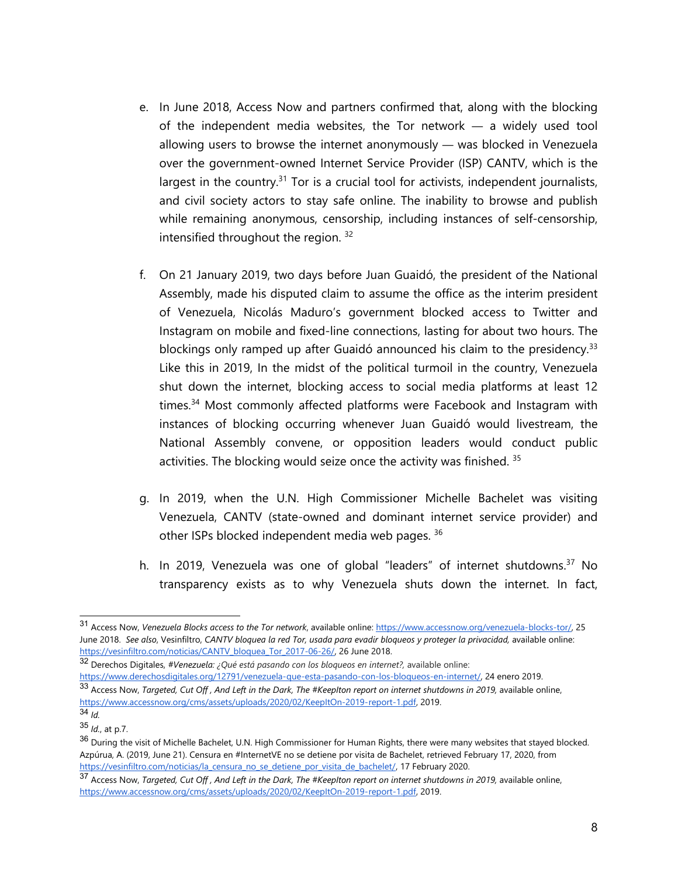- e. In June 2018, Access Now and partners confirmed that, along with the blocking of the independent media websites, the Tor network — <sup>a</sup> widely used tool allowing users to browse the internet anonymously — was blocked in Venezuela over the government-owned Internet Service Provider (ISP) CANTV, which is the largest in the country.<sup>31</sup> Tor is a crucial tool for activists, independent journalists, and civil society actors to stay safe online. The inability to browse and publish while remaining anonymous, censorship, including instances of self-censorship, intensified throughout the region.  $^{32}$
- f. On 21 January 2019, two days before Juan Guaidó, the president of the National Assembly, made his disputed claim to assume the office as the interim president of Venezuela, Nicolás Maduro'<sup>s</sup> governmen<sup>t</sup> blocked access to Twitter and Instagram on mobile and fixed-line connections, lasting for about two hours. The blockings only ramped up after Guaidó announced his claim to the presidency.<sup>33</sup> Like this in 2019, In the midst of the political turmoil in the country, Venezuela shut down the internet, blocking access to social media platforms at least 12 times. <sup>34</sup> Most commonly affected <sup>p</sup>latforms were Facebook and Instagram with instances of blocking occurring whenever Juan Guaidó would livestream, the National Assembly convene, or opposition leaders would conduct public activities. The blocking would seize once the activity was finished. <sup>35</sup>
- g. In 2019, when the U.N. High Commissioner Michelle Bachelet was visiting Venezuela, CANTV (state-owned and dominant internet service provider) and other ISPs blocked independent media web pages. <sup>36</sup>
- h. In 2019, Venezuela was one of global "leaders" of internet shutdowns.<sup>37</sup> No transparency exists as to why Venezuela shuts down the internet. In fact,

<sup>31</sup> Access Now, *Venezuela Blocks access to the Tor network*, available online: <https://www.accessnow.org/venezuela-blocks-tor/>, 25 June 2018. See also, Vesinfiltro, CANTV bloquea la red Tor, usada para evadir bloqueos y proteger la privacidad, available online: [https://vesinfiltro.com/noticias/CANTV\\_bloquea\\_Tor\\_2017-06-26/](https://vesinfiltro.com/noticias/CANTV_bloquea_Tor_2017-06-26/), 26 June 2018.

<sup>32</sup> Derechos Digitales, *#Venezuela: ¿Qué está pasando con los bloqueos en internet?,* available online:

<https://www.derechosdigitales.org/12791/venezuela-que-esta-pasando-con-los-bloqueos-en-internet/>, 24 enero 2019.  $^{33}$  Access Now, Targeted, Cut Off , And Left in the Dark, The #KeepIton report on internet shutdowns in 2019, available online, <https://www.accessnow.org/cms/assets/uploads/2020/02/KeepItOn-2019-report-1.pdf>, 2019.

<sup>34</sup> *Id.*

<sup>35</sup> *Id.*, at p.7.

<sup>&</sup>lt;sup>36</sup> During the visit of Michelle Bachelet, U.N. High Commissioner for Human Rights, there were many websites that stayed blocked. Azpúrua, A. (2019, June 21). Censura en #InternetVE no se detiene por visita de Bachelet, retrieved February 17, 2020, from [https://vesinfiltro.com/noticias/la\\_censura\\_no\\_se\\_detiene\\_por\\_visita\\_de\\_bachelet/,](https://vesinfiltro.com/noticias/la_censura_no_se_detiene_por_visita_de_bachelet/) 17 February 2020.

<sup>&</sup>lt;sup>37</sup> Access Now, Targeted, Cut Off, And Left in the Dark, The #KeepIton report on internet shutdowns in 2019, available online, <https://www.accessnow.org/cms/assets/uploads/2020/02/KeepItOn-2019-report-1.pdf>, 2019.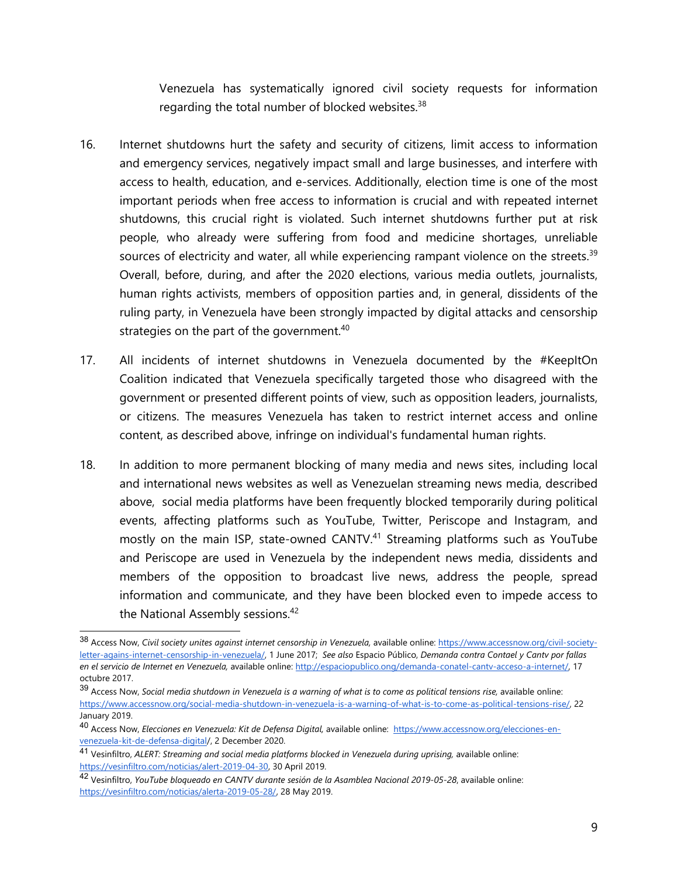Venezuela has systematically ignored civil society requests for information regarding the total number of blocked websites. $^{\rm 38}$ 

- 16. Internet shutdowns hurt the safety and security of citizens, limit access to information and emergency services, negatively impact small and large businesses, and interfere with access to health, education, and e-services. Additionally, election time is one of the most important periods when free access to information is crucial and with repeated internet shutdowns, this crucial right is violated. Such internet shutdowns further put at risk people, who already were suffering from food and medicine shortages, unreliable sources of electricity and water, all while experiencing rampant violence on the streets.<sup>39</sup> Overall, before, during, and after the 2020 elections, various media outlets, journalists, human rights activists, members of opposition parties and, in general, dissidents of the ruling party, in Venezuela have been strongly impacted by [digital](https://www.accessnow.org/bloqueo-a-redes-sociales-en-venezuela-la-crisis-politica-se-acentua/) attacks and [censorship](https://www.accessnow.org/frente-al-anteproyecto-de-ley-constitucional-del-ciberespacio-de-la-republica-bolivariana-de-venezuela/) [strategies](https://www.accessnow.org/frente-al-anteproyecto-de-ley-constitucional-del-ciberespacio-de-la-republica-bolivariana-de-venezuela/) on the part of the government. $^{40}$
- 17. All incidents of internet shutdowns in Venezuela documented by the #KeepItOn Coalition indicated that Venezuela specifically targeted those who disagreed with the governmen<sup>t</sup> or presented different points of view, such as opposition leaders, journalists, or citizens. The measures Venezuela has taken to restrict internet access and online content, as described above, infringe on individual's fundamental human rights.
- 18. In addition to more permanent blocking of many media and news sites, including local and international news websites as well as Venezuelan streaming news media, described above, social media platforms have been frequently blocked temporarily during political events, affecting platforms such as YouTube, Twitter, Periscope and Instagram, and mostly on the main ISP, state-owned CANTV. 41 Streaming platforms such as YouTube and Periscope are used in Venezuela by the independent news media, dissidents and members of the opposition to broadcast live news, address the people, spread information and communicate, and they have been blocked even to impede access to the National Assembly sessions. 42

<sup>38</sup> Access Now, *Civil society unites against internet censorship in Venezuela,* available online: [https://www.accessnow.org/civil-society](https://www.accessnow.org/civil-society-letter-agains-internet-censorship-in-venezuela/)[letter-agains-internet-censorship-in-venezuela/](https://www.accessnow.org/civil-society-letter-agains-internet-censorship-in-venezuela/), 1 June 2017; *See also* Espacio Público, *Demanda contra Contael y Cantv por fallas en el servicio de Internet en Venezuela,* available online: [http://espaciopublico.ong/demanda-conatel-cantv-acceso-a-internet/,](http://espaciopublico.ong/demanda-conatel-cantv-acceso-a-internet/) 17 octubre 2017.

<sup>&</sup>lt;sup>39</sup> Access Now, Social media shutdown in Venezuela is a warning of what is to come as political tensions rise, available online: [https://www.accessnow.org/social-media-shutdown-in-venezuela-is-a-warning-of-what-is-to-come-as-political-tensions-rise/,](https://www.accessnow.org/social-media-shutdown-in-venezuela-is-a-warning-of-what-is-to-come-as-political-tensions-rise/) 22 January 2019.

<sup>40</sup> Access Now, *Elecciones en Venezuela: Kit de Defensa Digital,* available online: [https://www.accessnow.org/elecciones-en](https://www.accessnow.org/elecciones-en-venezuela-kit-de-defensa-digital/)[venezuela-kit-de-defensa-digital/](https://www.accessnow.org/elecciones-en-venezuela-kit-de-defensa-digital/), 2 December 2020.

<sup>41</sup> Vesinfiltro, *ALERT: Streaming and social media platforms blocked in Venezuela during uprising,* available online: <https://vesinfiltro.com/noticias/alert-2019-04-30>, 30 April 2019.

<sup>42</sup> Vesinfiltro, *YouTube bloqueado en CANTV durante sesión de la Asamblea Nacional 2019-05-28*, available online: [https://vesinfiltro.com/noticias/alerta-2019-05-28/,](https://vesinfiltro.com/noticias/alerta-2019-05-28/) 28 May 2019.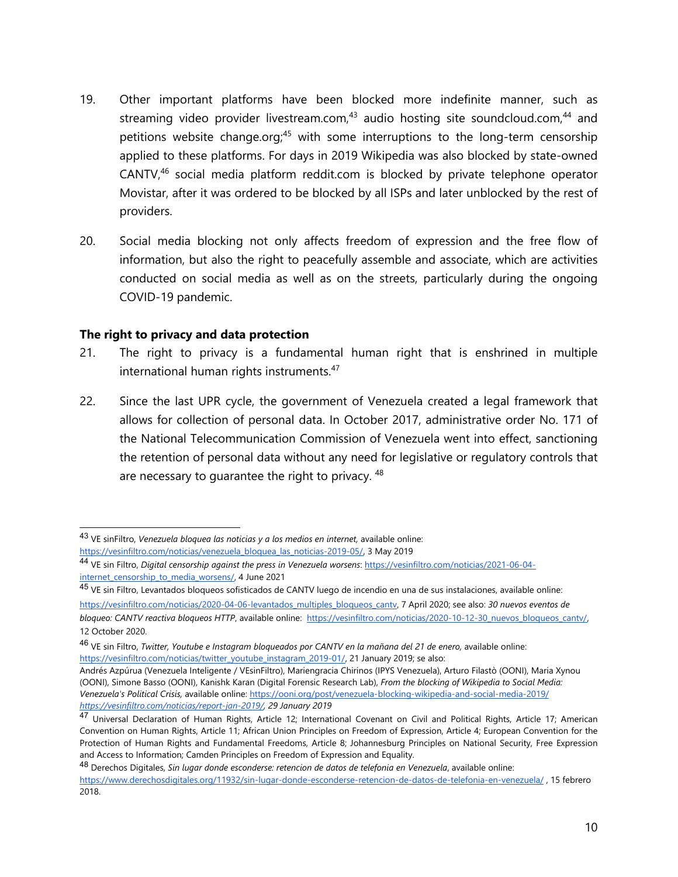- 19. Other important platforms have been blocked more indefinite manner, such as streaming video provider livestream.com,<sup>43</sup> audio hosting site soundcloud.com,<sup>44</sup> and petitions website change.org;<sup>45</sup> with some interruptions to the long-term censorship applied to these platforms. For days in 2019 Wikipedia was also blocked by state-owned CANTV, 46 social media platform reddit.com is blocked by private telephone operator Movistar, after it was ordered to be blocked by all ISPs and later unblocked by the rest of providers.
- 20. Social media blocking not only affects freedom of expression and the free flow of information, but also the right to peacefully assemble and associate, which are activities conducted on social media as well as on the streets, particularly during the ongoing COVID-19 pandemic.

#### **The right to privacy and data protection**

- 21. The right to privacy is <sup>a</sup> fundamental human right that is enshrined in multiple international human rights instruments. 47
- 22. Since the last UPR cycle, the governmen<sup>t</sup> of Venezuela created <sup>a</sup> legal framework that allows for collection of personal data. In October 2017, administrative order No. 171 of the National Telecommunication Commission of Venezuela went into effect, sanctioning the retention of personal data without any need for legislative or regulatory controls that are necessary to guarantee the right to privacy.  $^{48}$

<sup>43</sup> VE sinFiltro, *Venezuela bloquea las noticias y <sup>a</sup> los medios en internet,* available online: [https://vesinfiltro.com/noticias/venezuela\\_bloquea\\_las\\_noticias-2019-05/](https://vesinfiltro.com/noticias/venezuela_bloquea_las_noticias-2019-05/), 3 May 2019

<sup>44</sup> VE sin Filtro, *Digital censorship against the press in Venezuela worsens*: [https://vesinfiltro.com/noticias/2021-06-04](https://vesinfiltro.com/noticias/2021-06-04-internet_censorship_to_media_worsens/) [internet\\_censorship\\_to\\_media\\_worsens/,](https://vesinfiltro.com/noticias/2021-06-04-internet_censorship_to_media_worsens/) 4 June 2021

<sup>&</sup>lt;sup>45</sup> VE sin Filtro, Levantados bloqueos sofisticados de CANTV luego de incendio en una de sus instalaciones, available online: [https://vesinfiltro.com/noticias/2020-04-06-levantados\\_multiples\\_bloqueos\\_cantv,](https://vesinfiltro.com/noticias/2020-04-06-levantados_multiples_bloqueos_cantv) 7 April 2020; see also: *30 nuevos eventos de bloqueo: CANTV reactiva bloqueos HTTP*, available online: [https://vesinfiltro.com/noticias/2020-10-12-30\\_nuevos\\_bloqueos\\_cantv/](https://vesinfiltro.com/noticias/2020-10-12-30_nuevos_bloqueos_cantv/), 12 October 2020.

<sup>46</sup> VE sin Filtro, *Twitter, Youtube <sup>e</sup> Instagram bloqueados por CANTV en la mañana del 21 de enero,* available online: [https://vesinfiltro.com/noticias/twitter\\_youtube\\_instagram\\_2019-01/](https://vesinfiltro.com/noticias/twitter_youtube_instagram_2019-01/), 21 January 2019; se also:

Andrés Azpúrua (Venezuela Inteligente / VEsinFiltro), Mariengracia Chirinos (IPYS Venezuela), Arturo Filastò (OONI), Maria Xynou (OONI), Simone Basso (OONI), Kanishk Karan (Digital Forensic Research Lab), *From the blocking of Wikipedia to Social Media: Venezuela's Political Crisis,* available online: <https://ooni.org/post/venezuela-blocking-wikipedia-and-social-media-2019/> *<https://vesinfiltro.com/noticias/report-jan-2019/>, 29 January 2019*

<sup>&</sup>lt;sup>47</sup> Universal Declaration of Human Rights, Article 12; International Covenant on Civil and Political Rights, Article 17; American Convention on Human Rights, Article 11; African Union Principles on Freedom of Expression, Article 4; European Convention for the Protection of Human Rights and Fundamental Freedoms, Article 8; Johannesburg Principles on National Security, Free Expression and Access to Information; Camden Principles on Freedom of Expression and Equality.

<sup>48</sup> Derechos Digitales, *Sin lugar donde esconderse: retencion de datos de telefonia en Venezuela*, available online: <https://www.derechosdigitales.org/11932/sin-lugar-donde-esconderse-retencion-de-datos-de-telefonia-en-venezuela/> , 15 febrero 2018.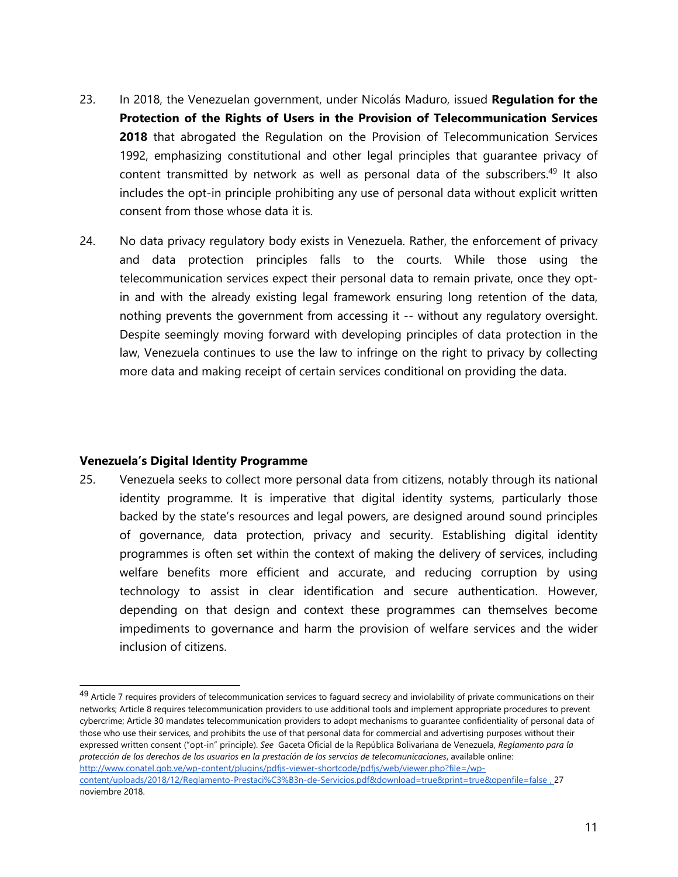- 23. In 2018, the Venezuelan government, under Nicolás Maduro, issued **Regulation for the Protection of the Rights of Users in the Provision of Telecommunication Services 2018** that abrogated the Regulation on the Provision of Telecommunication Services 1992, emphasizing constitutional and other legal principles that guarantee privacy of content transmitted by network as well as personal data of the subscribers.<sup>49</sup> It also includes the opt-in principle prohibiting any use of personal data without explicit written consent from those whose data it is.
- 24. No data privacy regulatory body exists in Venezuela. Rather, the enforcement of privacy and data protection principles falls to the courts. While those using the telecommunication services expect their personal data to remain private, once they optin and with the already existing legal framework ensuring long retention of the data, nothing prevents the governmen<sup>t</sup> from accessing it -- without any regulatory oversight. Despite seemingly moving forward with developing principles of data protection in the law, Venezuela continues to use the law to infringe on the right to privacy by collecting more data and making receipt of certain services conditional on providing the data.

#### **Venezuela'<sup>s</sup> Digital Identity Programme**

25. Venezuela seeks to collect more personal data from citizens, notably through its national identity programme. It is imperative that digital identity systems, particularly those backed by the state'<sup>s</sup> resources and legal powers, are designed around sound principles of governance, data protection, privacy and security. Establishing digital identity programmes is often set within the context of making the delivery of services, including welfare benefits more efficient and accurate, and reducing corruption by using technology to assist in clear identification and secure authentication. However, depending on that design and context these programmes can themselves become impediments to governance and harm the provision of welfare services and the wider inclusion of citizens.

<sup>&</sup>lt;sup>49</sup> Article 7 requires providers of telecommunication services to faguard secrecy and inviolability of private communications on their networks; Article 8 requires telecommunication providers to use additional tools and implement appropriate procedures to prevent cybercrime; Article 30 mandates telecommunication providers to adopt mechanisms to guarantee confidentiality of personal data of those who use their services, and prohibits the use of that personal data for commercial and advertising purposes without their expressed written consent ("opt-in" principle). *See* Gaceta Oficial de la República Bolivariana de Venezuela, *Reglamento para la* protección de los derechos de los usuarios en la prestación de los servcios de telecomunicaciones, available online: [http://www.conatel.gob.ve/wp-content/plugins/pdfjs-viewer-shortcode/pdfjs/web/viewer.php?file=/wp](http://www.conatel.gob.ve/wp-content/plugins/pdfjs-viewer-shortcode/pdfjs/web/viewer.php?file=/wp-content/uploads/2018/12/Reglamento-Prestaci%C3%B3n-de-Servicios.pdf&download=true&print=true&openfile=false)[content/uploads/2018/12/Reglamento-Prestaci%C3%B3n-de-Servicios.pdf&download=true&print=true&openfile=false](http://www.conatel.gob.ve/wp-content/plugins/pdfjs-viewer-shortcode/pdfjs/web/viewer.php?file=/wp-content/uploads/2018/12/Reglamento-Prestaci%C3%B3n-de-Servicios.pdf&download=true&print=true&openfile=false) , 27 noviembre 2018.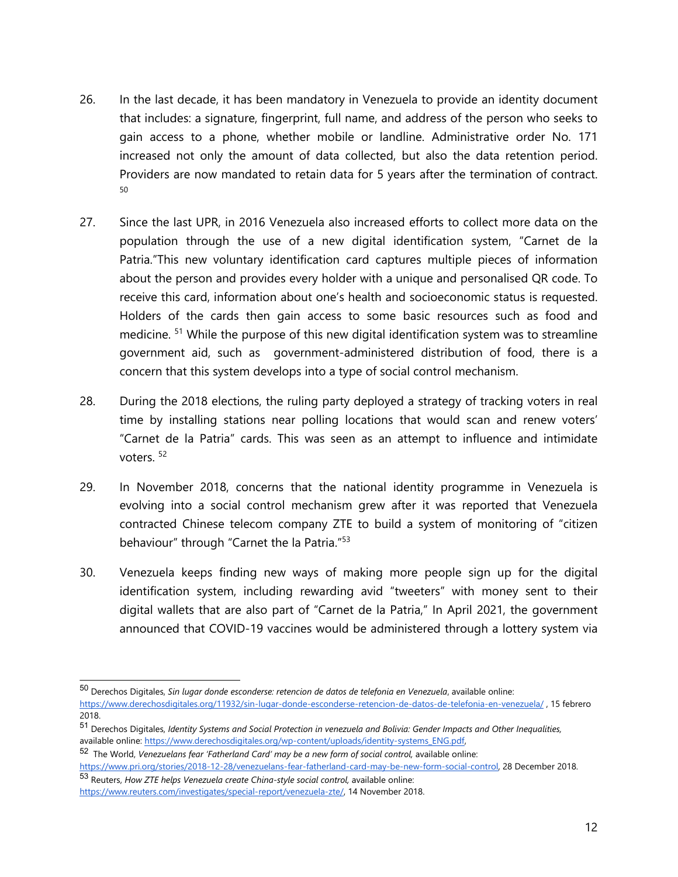- 26. In the last decade, it has been mandatory in Venezuela to provide an identity document that includes: <sup>a</sup> signature, fingerprint, full name, and address of the person who seeks to gain access to <sup>a</sup> phone, whether mobile or landline. Administrative order No. 171 increased not only the amount of data collected, but also the data retention period. Providers are now mandated to retain data for 5 years after the termination of contract. 50
- 27. Since the last UPR, in 2016 Venezuela also increased efforts to collect more data on the population through the use of <sup>a</sup> new digital identification system, "Carnet de la Patria."This new voluntary identification card captures multiple pieces of information about the person and provides every holder with <sup>a</sup> unique and personalised QR code. To receive this card, information about one'<sup>s</sup> health and socioeconomic status is requested. Holders of the cards then gain access to some basic resources such as food and medicine. <sup>51</sup> While the purpose of this new digital identification system was to streamline governmen<sup>t</sup> aid, such as government-administered distribution of food, there is <sup>a</sup> concern that this system develops into <sup>a</sup> type of social control mechanism.
- 28. During the 2018 elections, the ruling party deployed <sup>a</sup> strategy of tracking voters in real time by installing stations near polling locations that would scan and renew voters' "Carnet de la Patria" cards. This was seen as an attempt to influence and intimidate voters. <sup>52</sup>
- 29. In November 2018, concerns that the national identity programme in Venezuela is evolving into <sup>a</sup> social control mechanism grew after it was reported that Venezuela contracted Chinese telecom company ZTE to build <sup>a</sup> system of monitoring of "citizen behaviour" through "Carnet the la Patria." 53
- 30. Venezuela keeps finding new ways of making more people sign up for the digital identification system, including rewarding avid "tweeters" with money sent to their digital wallets that are also part of "Carnet de la Patria," In April 2021, the governmen<sup>t</sup> announced that COVID-19 vaccines would be administered through <sup>a</sup> lottery system via

<sup>50</sup> Derechos Digitales, *Sin lugar donde esconderse: retencion de datos de telefonia en Venezuela*, available online: <https://www.derechosdigitales.org/11932/sin-lugar-donde-esconderse-retencion-de-datos-de-telefonia-en-venezuela/> , 15 febrero 2018.

<sup>51</sup> Derechos Digitales, *Identity Systems and Social Protection in venezuela and Bolivia: Gender Impacts and Other Inequalities,* available online: [https://www.derechosdigitales.org/wp-content/uploads/identity-systems\\_ENG.pdf,](https://www.derechosdigitales.org/wp-content/uploads/identity-systems_ENG.pdf)

<sup>52</sup> The World, *Venezuelans fear 'Fatherland Card' may be <sup>a</sup> new form of social control,* available online:

<https://www.pri.org/stories/2018-12-28/venezuelans-fear-fatherland-card-may-be-new-form-social-control>, 28 December 2018. 53 Reuters, *How ZTE helps Venezuela create China-style social control,* available online:

<https://www.reuters.com/investigates/special-report/venezuela-zte/>, 14 November 2018.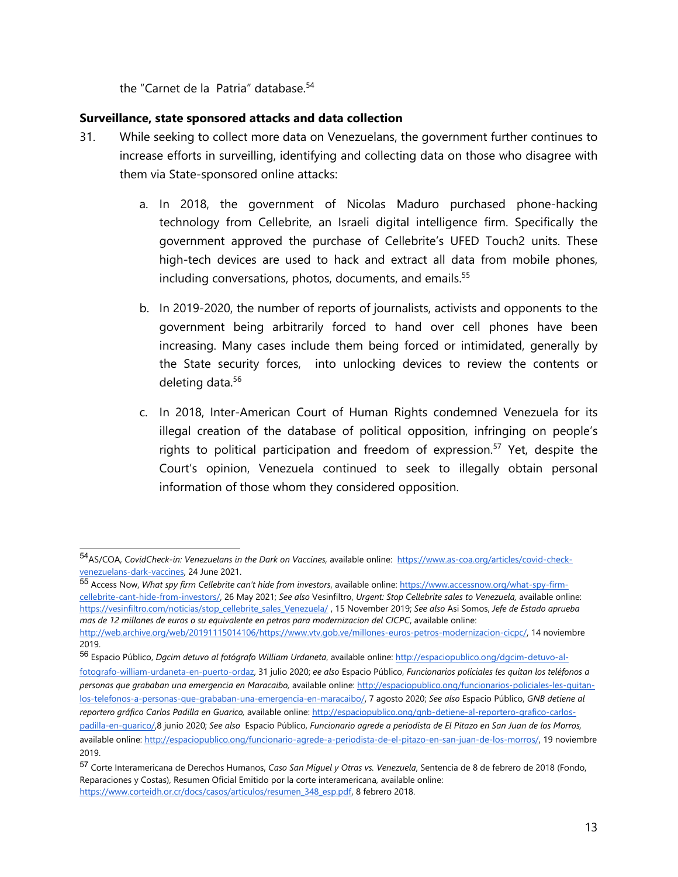the "Carnet de la Patria" database. 54

## **Surveillance, state sponsored attacks and data collection**

- 31. While seeking to collect more data on Venezuelans, the governmen<sup>t</sup> further continues to increase efforts in surveilling, identifying and collecting data on those who disagree with them via State-sponsored online attacks:
	- a. In 2018, the governmen<sup>t</sup> of Nicolas Maduro purchased phone-hacking technology from Cellebrite, an Israeli digital intelligence firm. Specifically the governmen<sup>t</sup> approved the purchase of Cellebrite'<sup>s</sup> UFED Touch2 units. These high-tech devices are used to hack and extract all data from mobile phones, including conversations, photos, documents, and emails. 55
	- b. In 2019-2020, the number of reports of journalists, activists and opponents to the governmen<sup>t</sup> being arbitrarily forced to hand over cell phones have been increasing. Many cases include them being forced or intimidated, generally by the State security forces, into unlocking devices to review the contents or deleting data. 56
	- c. In 2018, Inter-American Court of Human Rights condemned Venezuela for its illegal creation of the database of political opposition, infringing on people'<sup>s</sup> rights to political participation and freedom of expression. 57 Yet, despite the Court'<sup>s</sup> opinion, Venezuela continued to seek to illegally obtain personal information of those whom they considered opposition.

[fotografo-william-urdaneta-en-puerto-ordaz,](http://espaciopublico.ong/dgcim-detuvo-al-fotografo-william-urdaneta-en-puerto-ordaz/) 31 julio 2020; *ee also* Espacio Público, *Funcionarios policiales les quitan los teléfonos <sup>a</sup> personas que grababan una emergencia en Maracaibo,* available online: [http://espaciopublico.ong/funcionarios-policiales-les-quitan](http://espaciopublico.ong/funcionarios-policiales-les-quitan-los-telefonos-a-personas-que-grababan-una-emergencia-en-maracaibo/)[los-telefonos-a-personas-que-grababan-una-emergencia-en-maracaibo/,](http://espaciopublico.ong/funcionarios-policiales-les-quitan-los-telefonos-a-personas-que-grababan-una-emergencia-en-maracaibo/) 7 agosto 2020; *See also* Espacio Público, *GNB detiene al reportero gráfico Carlos Padilla en Guarico,* available online: [http://espaciopublico.ong/gnb-detiene-al-reportero-grafico-carlos](http://espaciopublico.ong/gnb-detiene-al-reportero-grafico-carlos-padilla-en-guarico/)padilla-en-quarico/8 junio 2020; See also Espacio Público, Funcionario agrede a periodista de El Pitazo en San Juan de los Morros, available online: [http://espaciopublico.ong/funcionario-agrede-a-periodista-de-el-pitazo-en-san-juan-de-los-morros/,](http://espaciopublico.ong/funcionario-agrede-a-periodista-de-el-pitazo-en-san-juan-de-los-morros/) 19 noviembre 2019.

<sup>54</sup> AS/COA, *CovidCheck-in: Venezuelans in the Dark on Vaccines,* available online: [https://www.as-coa.org/articles/covid-check](https://www.as-coa.org/articles/covid-check-venezuelans-dark-vaccines)[venezuelans-dark-vaccines](https://www.as-coa.org/articles/covid-check-venezuelans-dark-vaccines), 24 June 2021.

<sup>55</sup> Access Now, *What spy firm Cellebrite can'<sup>t</sup> hide from investors*, available online: [https://www.accessnow.org/what-spy-firm](https://www.accessnow.org/what-spy-firm-cellebrite-cant-hide-from-investors/)[cellebrite-cant-hide-from-investors/,](https://www.accessnow.org/what-spy-firm-cellebrite-cant-hide-from-investors/) 26 May 2021; *See also* Vesinfiltro, *Urgent: Stop Cellebrite sales to Venezuela,* available online: [https://vesinfiltro.com/noticias/stop\\_cellebrite\\_sales\\_Venezuela/](https://vesinfiltro.com/noticias/stop_cellebrite_sales_Venezuela/) , 15 November 2019; *See also* Asi Somos, *Jefe de Estado aprueba mas de 12 millones de euros <sup>o</sup> su equivalente en petros para modernizacion del CICPC*, available online: <http://web.archive.org/web/20191115014106/https://www.vtv.gob.ve/millones-euros-petros-modernizacion-cicpc/>, 14 noviembre 2019.

<sup>56</sup> Espacio Público, *Dgcim detuvo al fotógrafo William Urdaneta*, available online: [http://espaciopublico.ong/dgcim-detuvo-al-](http://espaciopublico.ong/dgcim-detuvo-al-fotografo-william-urdaneta-en-puerto-ordaz/)

<sup>57</sup> Corte Interamericana de Derechos Humanos, *Caso San Miguel y Otras vs. Venezuela*, Sentencia de 8 de febrero de 2018 (Fondo, Reparaciones y Costas), Resumen Oficial Emitido por la corte interamericana, available online: [https://www.corteidh.or.cr/docs/casos/articulos/resumen\\_348\\_esp.pdf,](https://www.corteidh.or.cr/docs/casos/articulos/resumen_348_esp.pdf) 8 febrero 2018.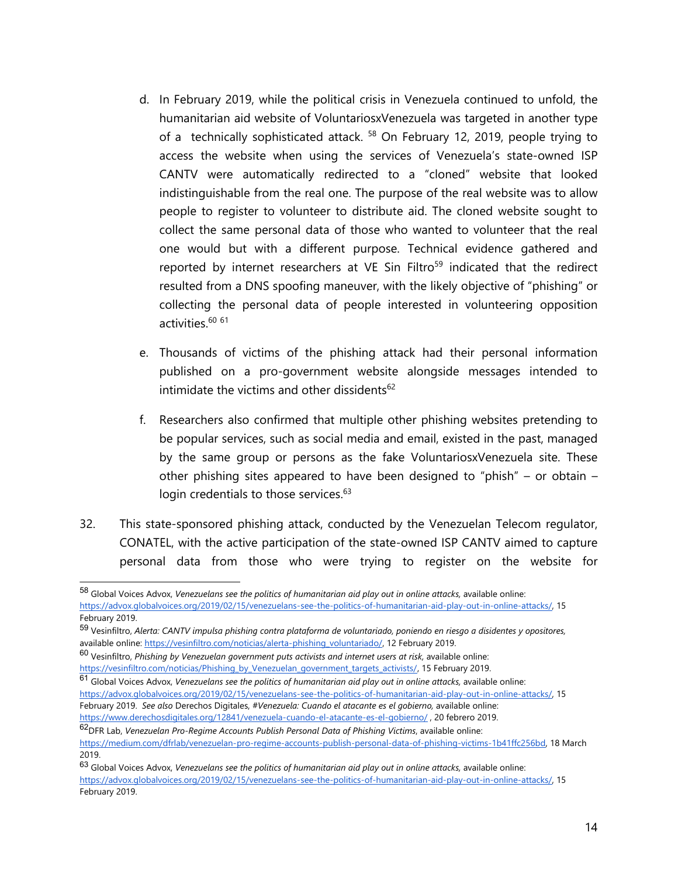- d. In February 2019, while the political crisis in Venezuela continued to unfold, the humanitarian aid website of VoluntariosxVenezuela was targeted in another type of a technically sophisticated attack. <sup>58</sup> On February 12, 2019, people trying to access the website when using the services of Venezuela'<sup>s</sup> state-owned ISP CANTV were automatically redirected to <sup>a</sup> "cloned" website that looked indistinguishable from the real one. The purpose of the real website was to allow people to register to volunteer to distribute aid. The cloned website sought to collect the same personal data of those who wanted to volunteer that the real one would but with <sup>a</sup> different purpose. Technical evidence gathered and reported by internet researchers at VE Sin Filtro<sup>59</sup> indicated that the redirect resulted from <sup>a</sup> DNS spoofing maneuver, with the likely objective of "phishing" or collecting the personal data of people interested in volunteering opposition activities.<sup>60 61</sup>
- e. Thousands of victims of the phishing attack had their personal information published on <sup>a</sup> pro-governmen<sup>t</sup> website alongside messages intended to intimidate the victims and other dissidents<sup>62</sup>
- f. Researchers also confirmed that multiple other phishing websites pretending to be popular services, such as social media and email, existed in the past, managed by the same group or persons as the fake VoluntariosxVenezuela site. These other phishing sites appeared to have been designed to "phish" – or obtain – login credentials to those services.<sup>63</sup>
- 32. This state-sponsored phishing attack, conducted by the Venezuelan Telecom regulator, CONATEL, with the active participation of the state-owned ISP CANTV aimed to capture personal data from those who were trying to register on the website for

<sup>58</sup> Global Voices Advox, *Venezuelans see the politics of humanitarian aid play out in online attacks,* available online: [https://advox.globalvoices.org/2019/02/15/venezuelans-see-the-politics-of-humanitarian-aid-play-out-in-online-attacks/,](https://advox.globalvoices.org/2019/02/15/venezuelans-see-the-politics-of-humanitarian-aid-play-out-in-online-attacks/) 15 February 2019.

<sup>&</sup>lt;sup>59</sup> Vesinfiltro, Alerta: CANTV impulsa phishing contra plataforma de voluntariado, poniendo en riesgo a disidentes y opositores, available online: [https://vesinfiltro.com/noticias/alerta-phishing\\_voluntariado/](https://vesinfiltro.com/noticias/alerta-phishing_voluntariado/), 12 February 2019.

<sup>60</sup> Vesinfiltro, *Phishing by Venezuelan governmen<sup>t</sup> puts activists and internet users at risk,* available online: [https://vesinfiltro.com/noticias/Phishing\\_by\\_Venezuelan\\_government\\_targets\\_activists/](https://vesinfiltro.com/noticias/Phishing_by_Venezuelan_government_targets_activists/), 15 February 2019.

<sup>61</sup> Global Voices Advox, *Venezuelans see the politics of humanitarian aid play out in online attacks,* available online: [https://advox.globalvoices.org/2019/02/15/venezuelans-see-the-politics-of-humanitarian-aid-play-out-in-online-attacks/,](https://advox.globalvoices.org/2019/02/15/venezuelans-see-the-politics-of-humanitarian-aid-play-out-in-online-attacks/) 15 February 2019. *See also* Derechos Digitales, *#Venezuela: Cuando el atacante es el gobierno,* available online: <https://www.derechosdigitales.org/12841/venezuela-cuando-el-atacante-es-el-gobierno/> , 20 febrero 2019.

<sup>62</sup> DFR Lab, *Venezuelan Pro-Regime Accounts Publish Personal Data of Phishing Victims*, available online: <https://medium.com/dfrlab/venezuelan-pro-regime-accounts-publish-personal-data-of-phishing-victims-1b41ffc256bd>, 18 March 2019.

<sup>63</sup> Global Voices Advox, *Venezuelans see the politics of humanitarian aid play out in online attacks,* available online: [https://advox.globalvoices.org/2019/02/15/venezuelans-see-the-politics-of-humanitarian-aid-play-out-in-online-attacks/,](https://advox.globalvoices.org/2019/02/15/venezuelans-see-the-politics-of-humanitarian-aid-play-out-in-online-attacks/) 15 February 2019.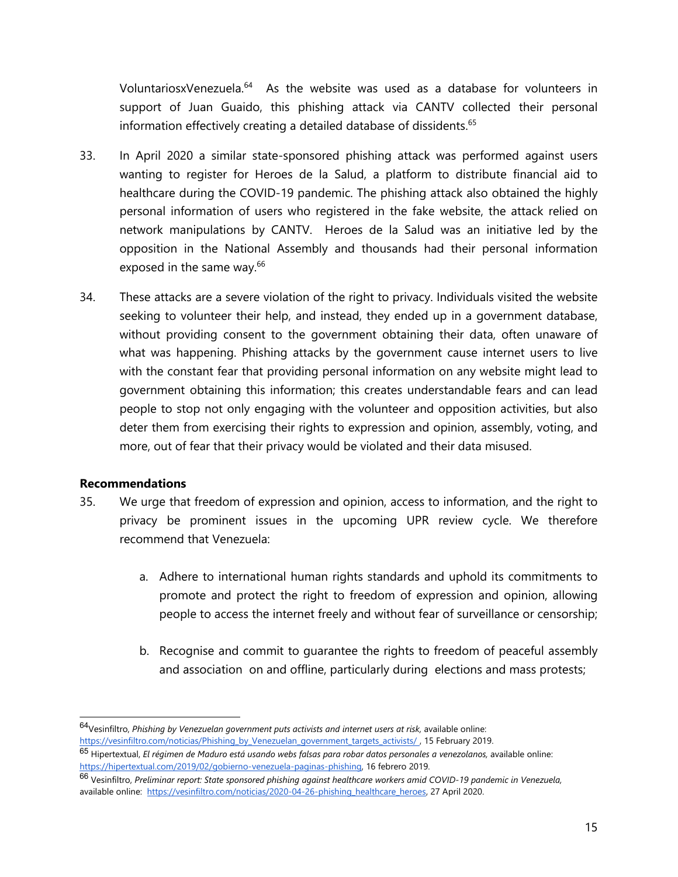VoluntariosxVenezuela.<sup>64</sup> As the website was used as a database for volunteers in support of Juan Guaido, this phishing attack via CANTV collected their personal information effectively creating a detailed database of dissidents. $\rm ^{65}$ 

- 33. In April 2020 <sup>a</sup> similar state-sponsored phishing attack was performed against users wanting to register for Heroes de la Salud, <sup>a</sup> platform to distribute financial aid to healthcare during the COVID-19 pandemic. The phishing attack also obtained the highly personal information of users who registered in the fake website, the attack relied on network manipulations by CANTV. Heroes de la Salud was an initiative led by the opposition in the National Assembly and thousands had their personal information exposed in the same way. 66
- 34. These attacks are <sup>a</sup> severe violation of the right to privacy. Individuals visited the website seeking to volunteer their help, and instead, they ended up in <sup>a</sup> governmen<sup>t</sup> database, without providing consent to the governmen<sup>t</sup> obtaining their data, often unaware of what was happening. Phishing attacks by the governmen<sup>t</sup> cause internet users to live with the constant fear that providing personal information on any website might lead to governmen<sup>t</sup> obtaining this information; this creates understandable fears and can lead people to stop not only engaging with the volunteer and opposition activities, but also deter them from exercising their rights to expression and opinion, assembly, voting, and more, out of fear that their privacy would be violated and their data misused.

## **Recommendations**

- 35. We urge that freedom of expression and opinion, access to information, and the right to privacy be prominent issues in the upcoming UPR review cycle. We therefore recommend that Venezuela:
	- a. Adhere to international human rights standards and uphold its commitments to promote and protect the right to freedom of expression and opinion, allowing people to access the internet freely and without fear of surveillance or censorship;
	- b. Recognise and commit to guarantee the rights to freedom of peaceful assembly and association on and offline, particularly during elections and mass protests;

<sup>64</sup> Vesinfiltro, *Phishing by Venezuelan governmen<sup>t</sup> puts activists and internet users at risk,* available online: [https://vesinfiltro.com/noticias/Phishing\\_by\\_Venezuelan\\_government\\_targets\\_activists/](https://vesinfiltro.com/noticias/Phishing_by_Venezuelan_government_targets_activists/) , 15 February 2019.

<sup>&</sup>lt;sup>65</sup> Hipertextual, *El régimen de Maduro está usando webs falsas para robar datos personales a venezolanos, available online:* [https://hipertextual.com/2019/02/gobierno-venezuela-paginas-phishing,](https://hipertextual.com/2019/02/gobierno-venezuela-paginas-phishing) 16 febrero 2019.

<sup>&</sup>lt;sup>66</sup> Vesinfiltro, Preliminar report: State sponsored phishing against healthcare workers amid COVID-19 pandemic in Venezuela, available online: [https://vesinfiltro.com/noticias/2020-04-26-phishing\\_healthcare\\_heroes](https://vesinfiltro.com/noticias/2020-04-26-phishing_healthcare_heroes), 27 April 2020.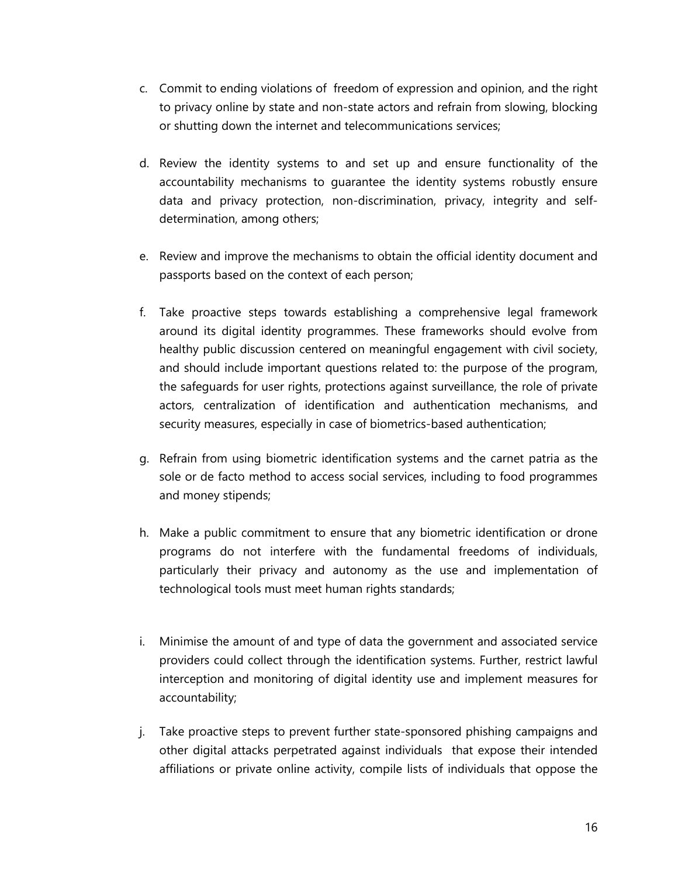- c. Commit to ending violations of freedom of expression and opinion, and the right to privacy online by state and non-state actors and refrain from slowing, blocking or shutting down the internet and telecommunications services;
- d. Review the identity systems to and set up and ensure functionality of the accountability mechanisms to guarantee the identity systems robustly ensure data and privacy protection, non-discrimination, privacy, integrity and selfdetermination, among others;
- e. Review and improve the mechanisms to obtain the official identity document and passports based on the context of each person;
- f. Take proactive steps towards establishing <sup>a</sup> comprehensive legal framework around its digital identity programmes. These frameworks should evolve from healthy public discussion centered on meaningful engagemen<sup>t</sup> with civil society, and should include important questions related to: the purpose of the program, the safeguards for user rights, protections against surveillance, the role of private actors, centralization of identification and authentication mechanisms, and security measures, especially in case of biometrics-based authentication;
- g. Refrain from using biometric identification systems and the carnet patria as the sole or de facto method to access social services, including to food programmes and money stipends;
- h. Make <sup>a</sup> public commitment to ensure that any biometric identification or drone programs do not interfere with the fundamental freedoms of individuals, particularly their privacy and autonomy as the use and implementation of technological tools must meet human rights standards;
- i. Minimise the amount of and type of data the governmen<sup>t</sup> and associated service providers could collect through the identification systems. Further, restrict lawful interception and monitoring of digital identity use and implement measures for accountability;
- j. Take proactive steps to prevent further state-sponsored phishing campaigns and other digital attacks perpetrated against individuals that expose their intended affiliations or private online activity, compile lists of individuals that oppose the